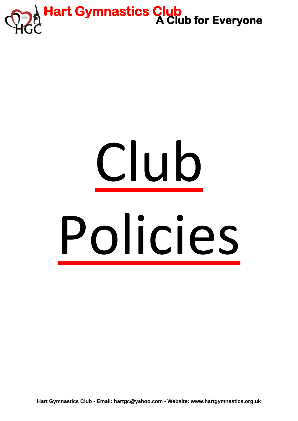

# Club Policies

**Hart Gymnastics Club - Email: [hartgc@yahoo.com -](mailto:hartgc@yahoo.com%20-) Website: www.hartgymnastics.org.uk**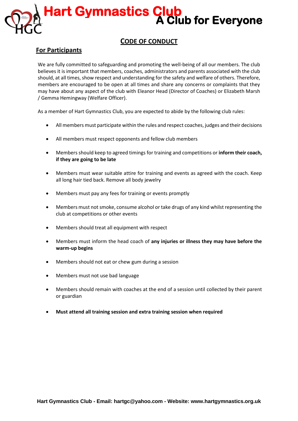## **CODE OF CONDUCT**

## **For Participants**

We are fully committed to safeguarding and promoting the well-being of all our members. The club believes it is important that members, coaches, administrators and parents associated with the club should, at all times, show respect and understanding for the safety and welfare of others. Therefore, members are encouraged to be open at all times and share any concerns or complaints that they may have about any aspect of the club with Eleanor Head (Director of Coaches) or Elizabeth Marsh / Gemma Hemingway (Welfare Officer).

As a member of Hart Gymnastics Club, you are expected to abide by the following club rules:

- All members must participate within the rules and respect coaches, judges and their decisions
- All members must respect opponents and fellow club members
- Members should keep to agreed timings for training and competitions or **inform their coach, if they are going to be late**
- Members must wear suitable attire for training and events as agreed with the coach. Keep all long hair tied back. Remove all body jewelry
- Members must pay any fees for training or events promptly
- Members must not smoke, consume alcohol or take drugs of any kind whilst representing the club at competitions or other events
- Members should treat all equipment with respect
- Members must inform the head coach of **any injuries or illness they may have before the warm-up begins**
- Members should not eat or chew gum during a session
- Members must not use bad language
- Members should remain with coaches at the end of a session until collected by their parent or guardian
- **Must attend all training session and extra training session when required**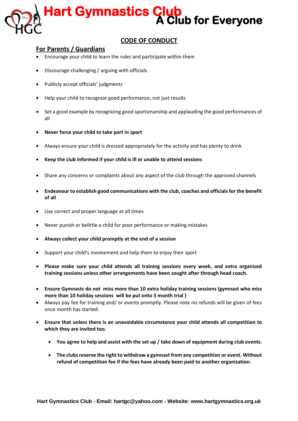

## **CODE OF CONDUCT**

## **For Parents / Guardians**

- Encourage your child to learn the rules and participate within them
- Discourage challenging / arguing with officials
- Publicly accept officials' judgments
- Help your child to recognize good performance, not just results
- Set a good example by recognizing good sportsmanship and applauding the good performances of all
- **Never force your child to take part in sport**
- Always ensure your child is dressed appropriately for the activity and has plenty to drink
- **Keep the club informed if your child is ill or unable to attend sessions**
- Share any concerns or complaints about any aspect of the club through the approved channels
- **Endeavour to establish good communications with the club, coaches and officials for the benefit of all**
- Use correct and proper language at all times
- Never punish or belittle a child for poor performance or making mistakes
- **Always collect your child promptly at the end of a session**
- Support your child's involvement and help them to enjoy their sport
- **Please make sure your child attends all training sessions every week, and extra organized training sessions unless other arrangements have been sought after through head coach.**
- **Ensure Gymnasts do not miss more than 10 extra holiday training sessions (gymnast who miss more than 10 holiday sessions will be put onto 3 month trial )**
- Always pay fee for training and/ or events promptly. Please note no refunds will be given of fees once month has started.
- **Ensure that unless there is an unavoidable circumstance your child attends all competition to which they are invited too.**
	- **You agree to help and assist with the set up / take down of equipment during club events.**
	- **The clubs reserve the right to withdraw a gymnast from any competition or event. Without refund of competition fee if the fees have already been paid to another organization.**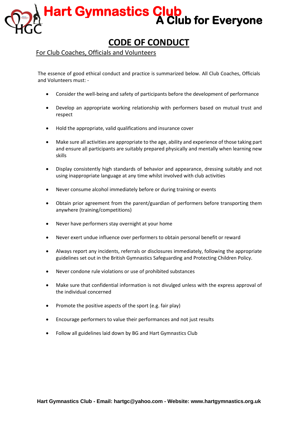## **CODE OF CONDUCT**

## For Club Coaches, Officials and Volunteers

The essence of good ethical conduct and practice is summarized below. All Club Coaches, Officials and Volunteers must: -

- Consider the well-being and safety of participants before the development of performance
- Develop an appropriate working relationship with performers based on mutual trust and respect
- Hold the appropriate, valid qualifications and insurance cover
- Make sure all activities are appropriate to the age, ability and experience of those taking part and ensure all participants are suitably prepared physically and mentally when learning new skills
- Display consistently high standards of behavior and appearance, dressing suitably and not using inappropriate language at any time whilst involved with club activities
- Never consume alcohol immediately before or during training or events
- Obtain prior agreement from the parent/guardian of performers before transporting them anywhere (training/competitions)
- Never have performers stay overnight at your home
- Never exert undue influence over performers to obtain personal benefit or reward
- Always report any incidents, referrals or disclosures immediately, following the appropriate guidelines set out in the British Gymnastics Safeguarding and Protecting Children Policy.
- Never condone rule violations or use of prohibited substances
- Make sure that confidential information is not divulged unless with the express approval of the individual concerned
- Promote the positive aspects of the sport (e.g. fair play)
- Encourage performers to value their performances and not just results
- Follow all guidelines laid down by BG and Hart Gymnastics Club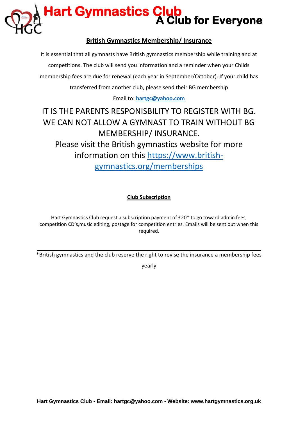

## **British Gymnastics Membership/ Insurance**

It is essential that all gymnasts have British gymnastics membership while training and at competitions. The club will send you information and a reminder when your Childs membership fees are due for renewal (each year in September/October). If your child has transferred from another club, please send their BG membership

## Email to: **[hartgc@yahoo.com](mailto:hartgc@yahoo.com)**

## IT IS THE PARENTS RESPONISBILITY TO REGISTER WITH BG. WE CAN NOT ALLOW A GYMNAST TO TRAIN WITHOUT BG MEMBERSHIP/ INSURANCE. Please visit the British gymnastics website for more information on this [https://www.british](https://www.british-gymnastics.org/memberships)[gymnastics.org/memberships](https://www.british-gymnastics.org/memberships)

## **Club Subscription**

Hart Gymnastics Club request a subscription payment of £20\* to go toward admin fees, competition CD's,music editing, postage for competition entries. Emails will be sent out when this required.

\*British gymnastics and the club reserve the right to revise the insurance a membership fees

yearly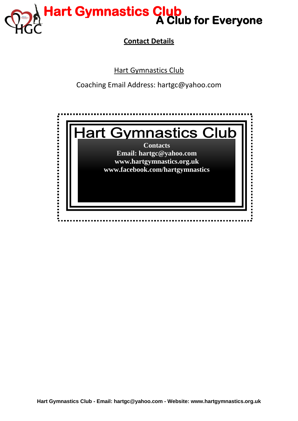

**Contact Details**

Hart Gymnastics Club

Coaching Email Address: hartgc@yahoo.com

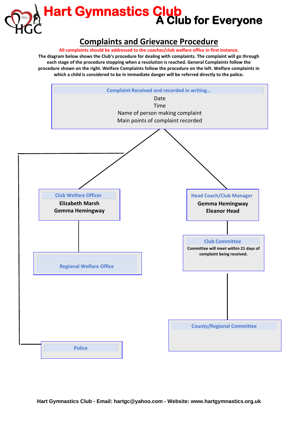

## **Complaints and Grievance Procedure**

**All complaints should be addressed to the coaches/club welfare office in first instance.** 

**The diagram below shows the Club's procedure for dealing with complaints. The complaint will go through each stage of the procedure stopping when a resolution is reached. General Complaints follow the procedure shown on the right. Welfare Complaints follow the procedure on the left. Welfare complaints in which a child is considered to be in immediate danger will be referred directly to the police.**

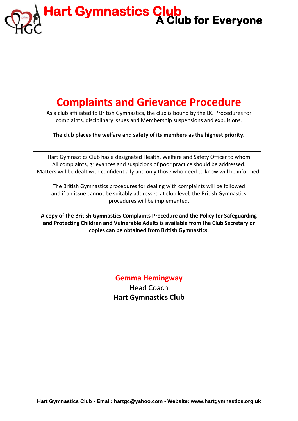## **Complaints and Grievance Procedure**

As a club affiliated to British Gymnastics, the club is bound by the BG Procedures for complaints, disciplinary issues and Membership suspensions and expulsions.

**The club places the welfare and safety of its members as the highest priority.**

Hart Gymnastics Club has a designated Health, Welfare and Safety Officer to whom All complaints, grievances and suspicions of poor practice should be addressed. Matters will be dealt with confidentially and only those who need to know will be informed.

The British Gymnastics procedures for dealing with complaints will be followed and if an issue cannot be suitably addressed at club level, the British Gymnastics procedures will be implemented.

**A copy of the British Gymnastics Complaints Procedure and the Policy for Safeguarding and Protecting Children and Vulnerable Adults is available from the Club Secretary or copies can be obtained from British Gymnastics.**

## **Gemma Hemingway**

Head Coach **Hart Gymnastics Club**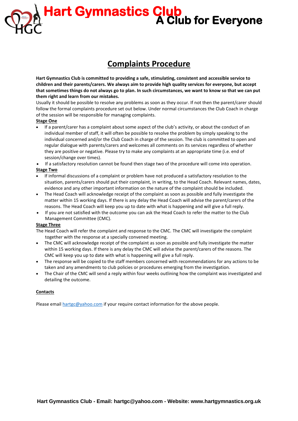## **Complaints Procedure**

**Hart Gymnastics Club is committed to providing a safe, stimulating, consistent and accessible service to children and their parents/carers. We always aim to provide high quality services for everyone, but accept that sometimes things do not always go to plan. In such circumstances, we want to know so that we can put them right and learn from our mistakes.**

Usually it should be possible to resolve any problems as soon as they occur. If not then the parent/carer should follow the formal complaints procedure set out below. Under normal circumstances the Club Coach in charge of the session will be responsible for managing complaints.

#### **Stage One**

- If a parent/carer has a complaint about some aspect of the club's activity, or about the conduct of an individual member of staff, it will often be possible to resolve the problem by simply speaking to the individual concerned and/or the Club Coach in charge of the session. The club is committed to open and regular dialogue with parents/carers and welcomes all comments on its services regardless of whether they are positive or negative. Please try to make any complaints at an appropriate time (i.e. end of session/change over times).
- If a satisfactory resolution cannot be found then stage two of the procedure will come into operation. **Stage Two**
- If informal discussions of a complaint or problem have not produced a satisfactory resolution to the situation, parents/carers should put their complaint, in writing, to the Head Coach. Relevant names, dates, evidence and any other important information on the nature of the complaint should be included.
- The Head Coach will acknowledge receipt of the complaint as soon as possible and fully investigate the matter within 15 working days. If there is any delay the Head Coach will advise the parent/carers of the reasons. The Head Coach will keep you up to date with what is happening and will give a full reply.
- If you are not satisfied with the outcome you can ask the Head Coach to refer the matter to the Club Management Committee (CMC).

#### **Stage Three**

The Head Coach will refer the complaint and response to the CMC. The CMC will investigate the complaint together with the response at a specially convened meeting.

- The CMC will acknowledge receipt of the complaint as soon as possible and fully investigate the matter within 15 working days. If there is any delay the CMC will advise the parent/carers of the reasons. The CMC will keep you up to date with what is happening will give a full reply.
- The response will be copied to the staff members concerned with recommendations for any actions to be taken and any amendments to club policies or procedures emerging from the investigation.
- The Chair of the CMC will send a reply within four weeks outlining how the complaint was investigated and detailing the outcome.

#### **Contacts**

Please email [hartgc@yahoo.com](mailto:hartgc@yahoo.com) if your require contact information for the above people.